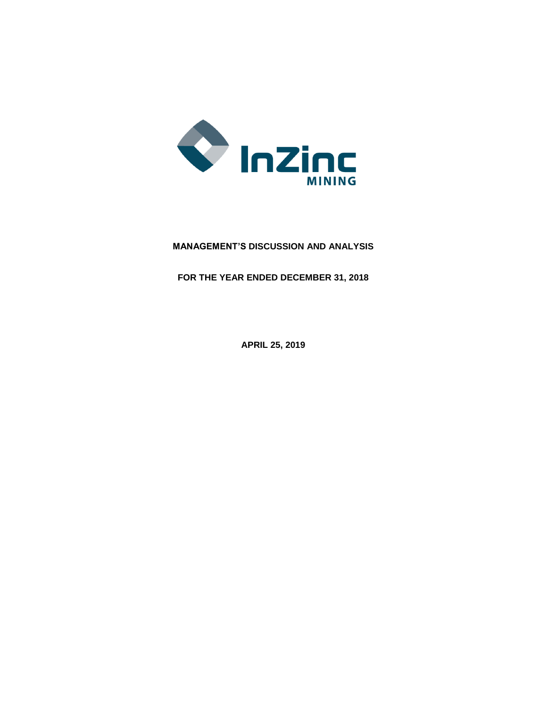

# **MANAGEMENT'S DISCUSSION AND ANALYSIS**

**FOR THE YEAR ENDED DECEMBER 31, 2018**

**APRIL 25, 2019**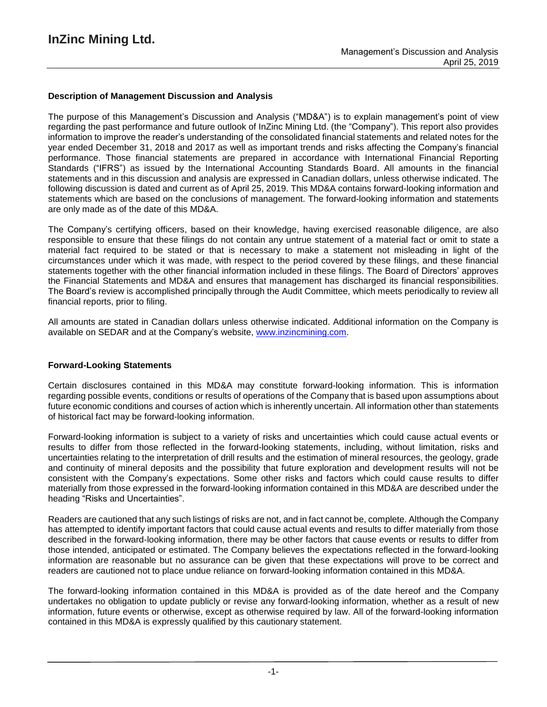### **Description of Management Discussion and Analysis**

The purpose of this Management's Discussion and Analysis ("MD&A") is to explain management's point of view regarding the past performance and future outlook of InZinc Mining Ltd. (the "Company"). This report also provides information to improve the reader's understanding of the consolidated financial statements and related notes for the year ended December 31, 2018 and 2017 as well as important trends and risks affecting the Company's financial performance. Those financial statements are prepared in accordance with International Financial Reporting Standards ("IFRS") as issued by the International Accounting Standards Board. All amounts in the financial statements and in this discussion and analysis are expressed in Canadian dollars, unless otherwise indicated. The following discussion is dated and current as of April 25, 2019. This MD&A contains forward-looking information and statements which are based on the conclusions of management. The forward-looking information and statements are only made as of the date of this MD&A.

The Company's certifying officers, based on their knowledge, having exercised reasonable diligence, are also responsible to ensure that these filings do not contain any untrue statement of a material fact or omit to state a material fact required to be stated or that is necessary to make a statement not misleading in light of the circumstances under which it was made, with respect to the period covered by these filings, and these financial statements together with the other financial information included in these filings. The Board of Directors' approves the Financial Statements and MD&A and ensures that management has discharged its financial responsibilities. The Board's review is accomplished principally through the Audit Committee, which meets periodically to review all financial reports, prior to filing.

All amounts are stated in Canadian dollars unless otherwise indicated. Additional information on the Company is available on SEDAR and at the Company's website, www.inzincmining.com.

#### **Forward-Looking Statements**

Certain disclosures contained in this MD&A may constitute forward-looking information. This is information regarding possible events, conditions or results of operations of the Company that is based upon assumptions about future economic conditions and courses of action which is inherently uncertain. All information other than statements of historical fact may be forward-looking information.

Forward-looking information is subject to a variety of risks and uncertainties which could cause actual events or results to differ from those reflected in the forward-looking statements, including, without limitation, risks and uncertainties relating to the interpretation of drill results and the estimation of mineral resources, the geology, grade and continuity of mineral deposits and the possibility that future exploration and development results will not be consistent with the Company's expectations. Some other risks and factors which could cause results to differ materially from those expressed in the forward-looking information contained in this MD&A are described under the heading "Risks and Uncertainties".

Readers are cautioned that any such listings of risks are not, and in fact cannot be, complete. Although the Company has attempted to identify important factors that could cause actual events and results to differ materially from those described in the forward-looking information, there may be other factors that cause events or results to differ from those intended, anticipated or estimated. The Company believes the expectations reflected in the forward-looking information are reasonable but no assurance can be given that these expectations will prove to be correct and readers are cautioned not to place undue reliance on forward-looking information contained in this MD&A.

The forward-looking information contained in this MD&A is provided as of the date hereof and the Company undertakes no obligation to update publicly or revise any forward-looking information, whether as a result of new information, future events or otherwise, except as otherwise required by law. All of the forward-looking information contained in this MD&A is expressly qualified by this cautionary statement.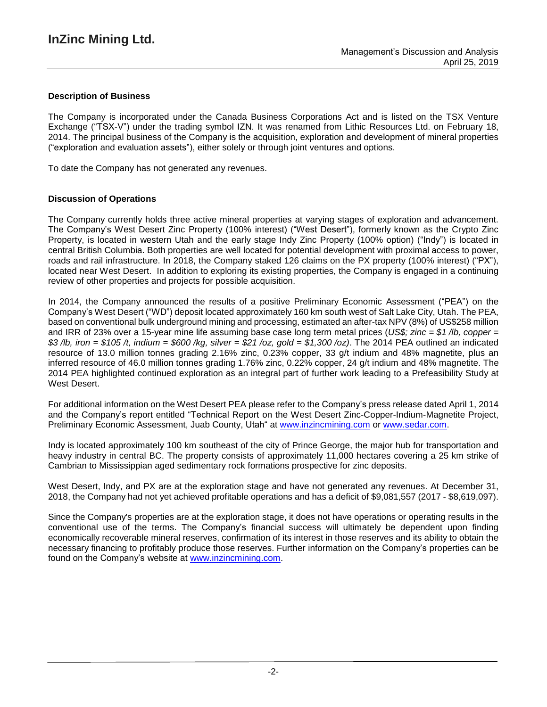### **Description of Business**

The Company is incorporated under the Canada Business Corporations Act and is listed on the TSX Venture Exchange ("TSX-V") under the trading symbol IZN. It was renamed from Lithic Resources Ltd. on February 18, 2014. The principal business of the Company is the acquisition, exploration and development of mineral properties ("exploration and evaluation assets"), either solely or through joint ventures and options.

To date the Company has not generated any revenues.

### **Discussion of Operations**

The Company currently holds three active mineral properties at varying stages of exploration and advancement. The Company's West Desert Zinc Property (100% interest) ("West Desert"), formerly known as the Crypto Zinc Property, is located in western Utah and the early stage Indy Zinc Property (100% option) ("Indy") is located in central British Columbia. Both properties are well located for potential development with proximal access to power, roads and rail infrastructure. In 2018, the Company staked 126 claims on the PX property (100% interest) ("PX"), located near West Desert. In addition to exploring its existing properties, the Company is engaged in a continuing review of other properties and projects for possible acquisition.

In 2014, the Company announced the results of a positive Preliminary Economic Assessment ("PEA") on the Company's West Desert ("WD") deposit located approximately 160 km south west of Salt Lake City, Utah. The PEA, based on conventional bulk underground mining and processing, estimated an after-tax NPV (8%) of US\$258 million and IRR of 23% over a 15-year mine life assuming base case long term metal prices (*US\$; zinc = \$1 /lb, copper =* \$3/lb, iron = \$105/t, indium = \$600/kg, silver = \$21/oz, gold = \$1,300/oz). The 2014 PEA outlined an indicated resource of 13.0 million tonnes grading 2.16% zinc, 0.23% copper, 33 g/t indium and 48% magnetite, plus an inferred resource of 46.0 million tonnes grading 1.76% zinc, 0.22% copper, 24 g/t indium and 48% magnetite. The 2014 PEA highlighted continued exploration as an integral part of further work leading to a Prefeasibility Study at West Desert.

For additional information on the West Desert PEA please refer to the Company's press release dated April 1, 2014 and the Company's report entitled "Technical Report on the West Desert Zinc-Copper-Indium-Magnetite Project, Preliminary Economic Assessment, Juab County, Utah" at [www.inzincmining.com](http://www.inzincmining.com/) or [www.sedar.com.](http://www.sedar.com/)

Indy is located approximately 100 km southeast of the city of Prince George, the major hub for transportation and heavy industry in central BC. The property consists of approximately 11,000 hectares covering a 25 km strike of Cambrian to Mississippian aged sedimentary rock formations prospective for zinc deposits.

West Desert, Indy, and PX are at the exploration stage and have not generated any revenues. At December 31, 2018, the Company had not yet achieved profitable operations and has a deficit of \$9,081,557 (2017 - \$8,619,097).

Since the Company's properties are at the exploration stage, it does not have operations or operating results in the conventional use of the terms. The Company's financial success will ultimately be dependent upon finding economically recoverable mineral reserves, confirmation of its interest in those reserves and its ability to obtain the necessary financing to profitably produce those reserves. Further information on the Company's properties can be found on the Company's website at www.inzincmining.com.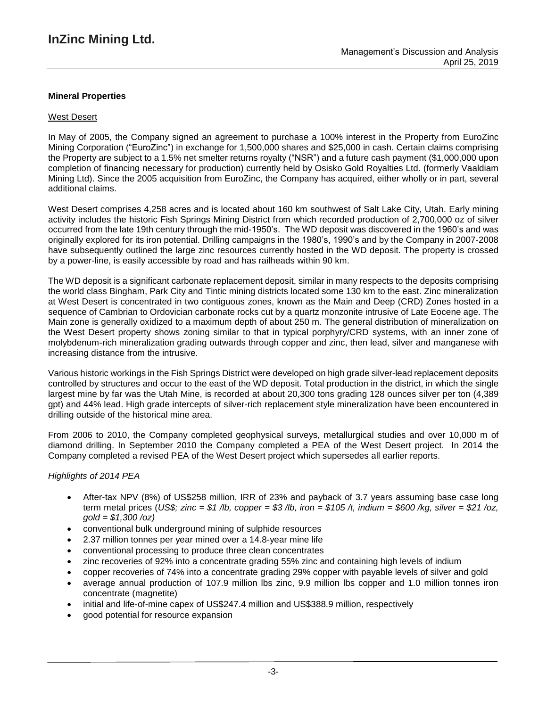### **Mineral Properties**

### West Desert

In May of 2005, the Company signed an agreement to purchase a 100% interest in the Property from EuroZinc Mining Corporation ("EuroZinc") in exchange for 1,500,000 shares and \$25,000 in cash. Certain claims comprising the Property are subject to a 1.5% net smelter returns royalty ("NSR") and a future cash payment (\$1,000,000 upon completion of financing necessary for production) currently held by Osisko Gold Royalties Ltd. (formerly Vaaldiam Mining Ltd). Since the 2005 acquisition from EuroZinc, the Company has acquired, either wholly or in part, several additional claims.

West Desert comprises 4,258 acres and is located about 160 km southwest of Salt Lake City, Utah. Early mining activity includes the historic Fish Springs Mining District from which recorded production of 2,700,000 oz of silver occurred from the late 19th century through the mid-1950's. The WD deposit was discovered in the 1960's and was originally explored for its iron potential. Drilling campaigns in the 1980's, 1990's and by the Company in 2007-2008 have subsequently outlined the large zinc resources currently hosted in the WD deposit. The property is crossed by a power-line, is easily accessible by road and has railheads within 90 km.

The WD deposit is a significant carbonate replacement deposit, similar in many respects to the deposits comprising the world class Bingham, Park City and Tintic mining districts located some 130 km to the east. Zinc mineralization at West Desert is concentrated in two contiguous zones, known as the Main and Deep (CRD) Zones hosted in a sequence of Cambrian to Ordovician carbonate rocks cut by a quartz monzonite intrusive of Late Eocene age. The Main zone is generally oxidized to a maximum depth of about 250 m. The general distribution of mineralization on the West Desert property shows zoning similar to that in typical porphyry/CRD systems, with an inner zone of molybdenum-rich mineralization grading outwards through copper and zinc, then lead, silver and manganese with increasing distance from the intrusive.

Various historic workings in the Fish Springs District were developed on high grade silver-lead replacement deposits controlled by structures and occur to the east of the WD deposit. Total production in the district, in which the single largest mine by far was the Utah Mine, is recorded at about 20,300 tons grading 128 ounces silver per ton (4,389 gpt) and 44% lead. High grade intercepts of silver-rich replacement style mineralization have been encountered in drilling outside of the historical mine area.

From 2006 to 2010, the Company completed geophysical surveys, metallurgical studies and over 10,000 m of diamond drilling. In September 2010 the Company completed a PEA of the West Desert project. In 2014 the Company completed a revised PEA of the West Desert project which supersedes all earlier reports.

### *Highlights of 2014 PEA*

- After-tax NPV (8%) of US\$258 million, IRR of 23% and payback of 3.7 years assuming base case long term metal prices (US\$; zinc = \$1 /b, copper = \$3 /b, iron = \$105 /t, indium = \$600 /kg, silver = \$21 /oz, *gold = \$1,300 /oz)*
- conventional bulk underground mining of sulphide resources
- 2.37 million tonnes per year mined over a 14.8-year mine life
- conventional processing to produce three clean concentrates
- zinc recoveries of 92% into a concentrate grading 55% zinc and containing high levels of indium
- copper recoveries of 74% into a concentrate grading 29% copper with payable levels of silver and gold
- average annual production of 107.9 million lbs zinc, 9.9 million lbs copper and 1.0 million tonnes iron concentrate (magnetite)
- initial and life-of-mine capex of US\$247.4 million and US\$388.9 million, respectively
- good potential for resource expansion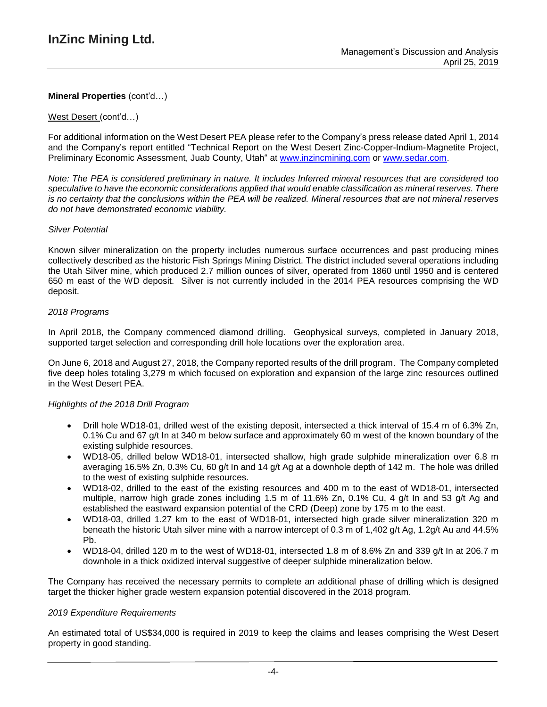#### West Desert (cont'd…)

For additional information on the West Desert PEA please refer to the Company's press release dated April 1, 2014 and the Company's report entitled "Technical Report on the West Desert Zinc-Copper-Indium-Magnetite Project, Preliminary Economic Assessment, Juab County, Utah" at [www.inzincmining.com](http://www.inzincmining.com/) or [www.sedar.com.](http://www.sedar.com/)

Note: The PEA is considered preliminary in nature. It includes Inferred mineral resources that are considered too *speculative to have the economic considerations applied that would enable classification as mineral reserves. There* is no certainty that the conclusions within the PEA will be realized. Mineral resources that are not mineral reserves *do not have demonstrated economic viability.*

#### *Silver Potential*

Known silver mineralization on the property includes numerous surface occurrences and past producing mines collectively described as the historic Fish Springs Mining District. The district included several operations including the Utah Silver mine, which produced 2.7 million ounces of silver, operated from 1860 until 1950 and is centered 650 m east of the WD deposit. Silver is not currently included in the 2014 PEA resources comprising the WD deposit.

### *2018 Programs*

In April 2018, the Company commenced diamond drilling. Geophysical surveys, completed in January 2018, supported target selection and corresponding drill hole locations over the exploration area.

On June 6, 2018 and August 27, 2018, the Company reported results of the drill program. The Company completed five deep holes totaling 3,279 m which focused on exploration and expansion of the large zinc resources outlined in the West Desert PEA.

#### *Highlights of the 2018 Drill Program*

- Drill hole WD18-01, drilled west of the existing deposit, intersected a thick interval of 15.4 m of 6.3% Zn, 0.1% Cu and 67 g/t In at 340 m below surface and approximately 60 m west of the known boundary of the existing sulphide resources.
- WD18-05, drilled below WD18-01, intersected shallow, high grade sulphide mineralization over 6.8 m averaging 16.5% Zn, 0.3% Cu, 60 g/t In and 14 g/t Ag at a downhole depth of 142 m. The hole was drilled to the west of existing sulphide resources.
- WD18-02, drilled to the east of the existing resources and 400 m to the east of WD18-01, intersected multiple, narrow high grade zones including 1.5 m of 11.6% Zn, 0.1% Cu, 4 g/t In and 53 g/t Ag and established the eastward expansion potential of the CRD (Deep) zone by 175 m to the east.
- WD18-03, drilled 1.27 km to the east of WD18-01, intersected high grade silver mineralization 320 m beneath the historic Utah silver mine with a narrow intercept of 0.3 m of 1,402 g/t Ag, 1.2g/t Au and 44.5% Pb.
- WD18-04, drilled 120 m to the west of WD18-01, intersected 1.8 m of 8.6% Zn and 339 g/t In at 206.7 m downhole in a thick oxidized interval suggestive of deeper sulphide mineralization below.

The Company has received the necessary permits to complete an additional phase of drilling which is designed target the thicker higher grade western expansion potential discovered in the 2018 program.

#### *2019 Expenditure Requirements*

An estimated total of US\$34,000 is required in 2019 to keep the claims and leases comprising the West Desert property in good standing.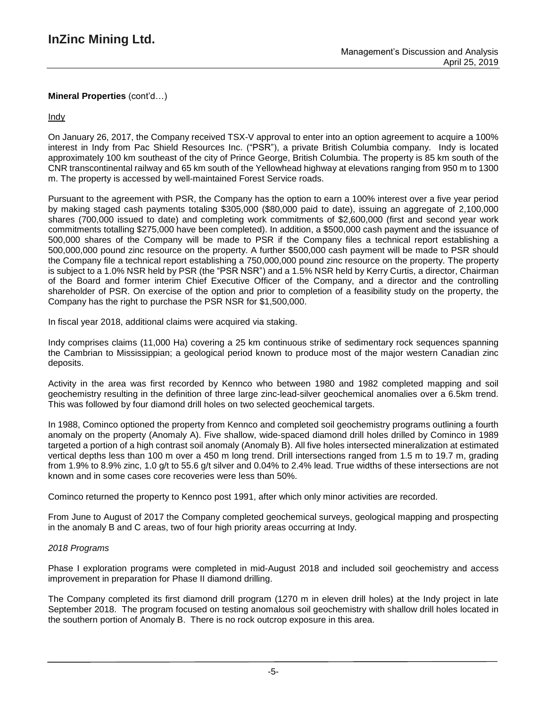**Indy** 

On January 26, 2017, the Company received TSX-V approval to enter into an option agreement to acquire a 100% interest in Indy from Pac Shield Resources Inc. ("PSR"), a private British Columbia company. Indy is located approximately 100 km southeast of the city of Prince George, British Columbia. The property is 85 km south of the CNR transcontinental railway and 65 km south of the Yellowhead highway at elevations ranging from 950 m to 1300 m. The property is accessed by well-maintained Forest Service roads.

Pursuant to the agreement with PSR, the Company has the option to earn a 100% interest over a five year period by making staged cash payments totaling \$305,000 (\$80,000 paid to date), issuing an aggregate of 2,100,000 shares (700,000 issued to date) and completing work commitments of \$2,600,000 (first and second year work commitments totalling \$275,000 have been completed). In addition, a \$500,000 cash payment and the issuance of 500,000 shares of the Company will be made to PSR if the Company files a technical report establishing a 500,000,000 pound zinc resource on the property. A further \$500,000 cash payment will be made to PSR should the Company file a technical report establishing a 750,000,000 pound zinc resource on the property. The property is subject to a 1.0% NSR held by PSR (the "PSR NSR") and a 1.5% NSR held by Kerry Curtis, a director, Chairman of the Board and former interim Chief Executive Officer of the Company, and a director and the controlling shareholder of PSR. On exercise of the option and prior to completion of a feasibility study on the property, the Company has the right to purchase the PSR NSR for \$1,500,000.

In fiscal year 2018, additional claims were acquired via staking.

Indy comprises claims (11,000 Ha) covering a 25 km continuous strike of sedimentary rock sequences spanning the Cambrian to Mississippian; a geological period known to produce most of the major western Canadian zinc deposits.

Activity in the area was first recorded by Kennco who between 1980 and 1982 completed mapping and soil geochemistry resulting in the definition of three large zinc-lead-silver geochemical anomalies over a 6.5km trend. This was followed by four diamond drill holes on two selected geochemical targets.

In 1988, Cominco optioned the property from Kennco and completed soil geochemistry programs outlining a fourth anomaly on the property (Anomaly A). Five shallow, wide-spaced diamond drill holes drilled by Cominco in 1989 targeted a portion of a high contrast soil anomaly (Anomaly B). All five holes intersected mineralization at estimated vertical depths less than 100 m over a 450 m long trend. Drill intersections ranged from 1.5 m to 19.7 m, grading from 1.9% to 8.9% zinc, 1.0 g/t to 55.6 g/t silver and 0.04% to 2.4% lead. True widths of these intersections are not known and in some cases core recoveries were less than 50%.

Cominco returned the property to Kennco post 1991, after which only minor activities are recorded.

From June to August of 2017 the Company completed geochemical surveys, geological mapping and prospecting in the anomaly B and C areas, two of four high priority areas occurring at Indy.

### *2018 Programs*

Phase I exploration programs were completed in mid-August 2018 and included soil geochemistry and access improvement in preparation for Phase II diamond drilling.

The Company completed its first diamond drill program (1270 m in eleven drill holes) at the Indy project in late September 2018. The program focused on testing anomalous soil geochemistry with shallow drill holes located in the southern portion of Anomaly B. There is no rock outcrop exposure in this area.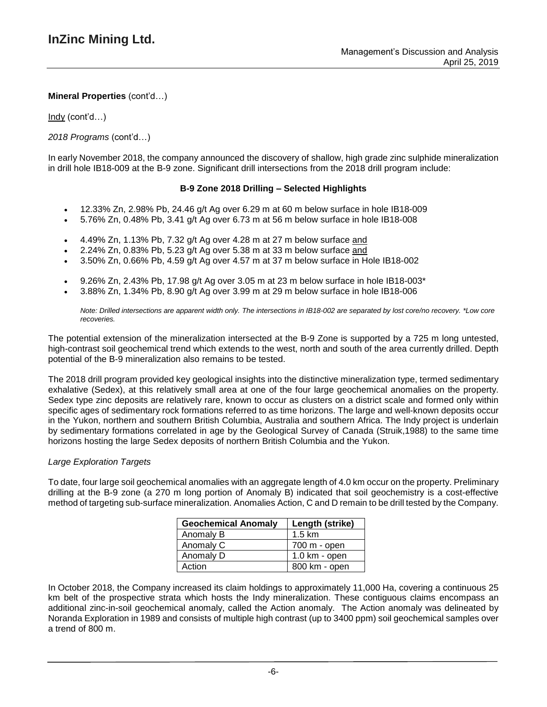Indy (cont'd…)

### *2018 Programs* (cont'd…)

In early November 2018, the company announced the discovery of shallow, high grade zinc sulphide mineralization in drill hole IB18-009 at the B-9 zone. Significant drill intersections from the 2018 drill program include:

### **B-9 Zone 2018 Drilling – Selected Highlights**

- 12.33% Zn, 2.98% Pb, 24.46 g/t Ag over 6.29 m at 60 m below surface in hole IB18-009
- 5.76% Zn, 0.48% Pb, 3.41 g/t Ag over 6.73 m at 56 m below surface in hole IB18-008
- 4.49% Zn, 1.13% Pb, 7.32 g/t Ag over 4.28 m at 27 m below surface and
- 2.24% Zn, 0.83% Pb, 5.23 g/t Ag over 5.38 m at 33 m below surface and
- 3.50% Zn, 0.66% Pb, 4.59 g/t Ag over 4.57 m at 37 m below surface in Hole IB18-002
- 9.26% Zn, 2.43% Pb, 17.98 g/t Ag over 3.05 m at 23 m below surface in hole IB18-003\*
- 3.88% Zn, 1.34% Pb, 8.90 g/t Ag over 3.99 m at 29 m below surface in hole IB18-006

Note: Drilled intersections are apparent width only. The intersections in IB18-002 are separated by lost core/no recovery. \*Low core *recoveries.*

The potential extension of the mineralization intersected at the B-9 Zone is supported by a 725 m long untested, high-contrast soil geochemical trend which extends to the west, north and south of the area currently drilled. Depth potential of the B-9 mineralization also remains to be tested.

The 2018 drill program provided key geological insights into the distinctive mineralization type, termed sedimentary exhalative (Sedex), at this relatively small area at one of the four large geochemical anomalies on the property. Sedex type zinc deposits are relatively rare, known to occur as clusters on a district scale and formed only within specific ages of sedimentary rock formations referred to as time horizons. The large and well-known deposits occur in the Yukon, northern and southern British Columbia, Australia and southern Africa. The Indy project is underlain by sedimentary formations correlated in age by the Geological Survey of Canada (Struik,1988) to the same time horizons hosting the large Sedex deposits of northern British Columbia and the Yukon.

### *Large Exploration Targets*

To date, four large soil geochemical anomalies with an aggregate length of 4.0 km occur on the property. Preliminary drilling at the B-9 zone (a 270 m long portion of Anomaly B) indicated that soil geochemistry is a cost-effective method of targeting sub-surface mineralization. Anomalies Action, C and D remain to be drill tested by the Company.

| <b>Geochemical Anomaly</b> | Length (strike)         |
|----------------------------|-------------------------|
| Anomaly B                  | $1.5 \text{ km}$        |
| Anomaly C                  | 700 m - open            |
| Anomaly D                  | $1.0 \text{ km}$ - open |
| Action                     | 800 km - open           |

In October 2018, the Company increased its claim holdings to approximately 11,000 Ha, covering a continuous 25 km belt of the prospective strata which hosts the Indy mineralization. These contiguous claims encompass an additional zinc-in-soil geochemical anomaly, called the Action anomaly. The Action anomaly was delineated by Noranda Exploration in 1989 and consists of multiple high contrast (up to 3400 ppm) soil geochemical samples over a trend of 800 m.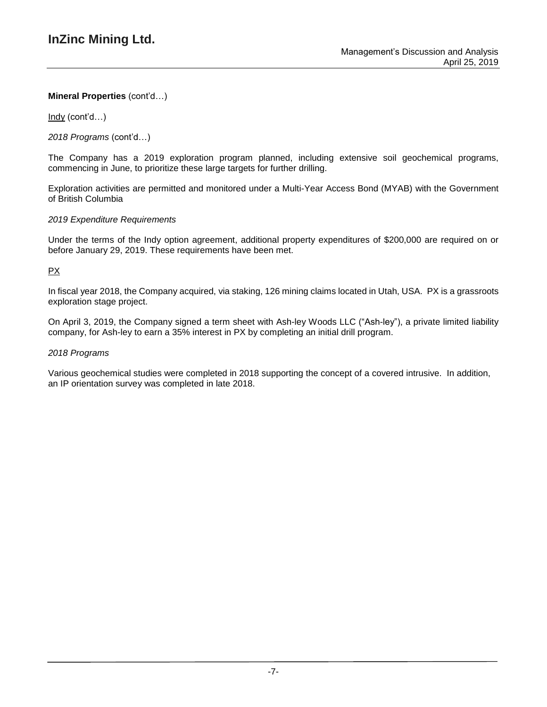Indy (cont'd…)

*2018 Programs* (cont'd…)

The Company has a 2019 exploration program planned, including extensive soil geochemical programs, commencing in June, to prioritize these large targets for further drilling.

Exploration activities are permitted and monitored under a Multi-Year Access Bond (MYAB) with the Government of British Columbia

### *2019 Expenditure Requirements*

Under the terms of the Indy option agreement, additional property expenditures of \$200,000 are required on or before January 29, 2019. These requirements have been met.

### PX

In fiscal year 2018, the Company acquired, via staking, 126 mining claims located in Utah, USA. PX is a grassroots exploration stage project.

On April 3, 2019, the Company signed a term sheet with Ash-ley Woods LLC ("Ash-ley"), a private limited liability company, for Ash-ley to earn a 35% interest in PX by completing an initial drill program.

### *2018 Programs*

Various geochemical studies were completed in 2018 supporting the concept of a covered intrusive. In addition, an IP orientation survey was completed in late 2018.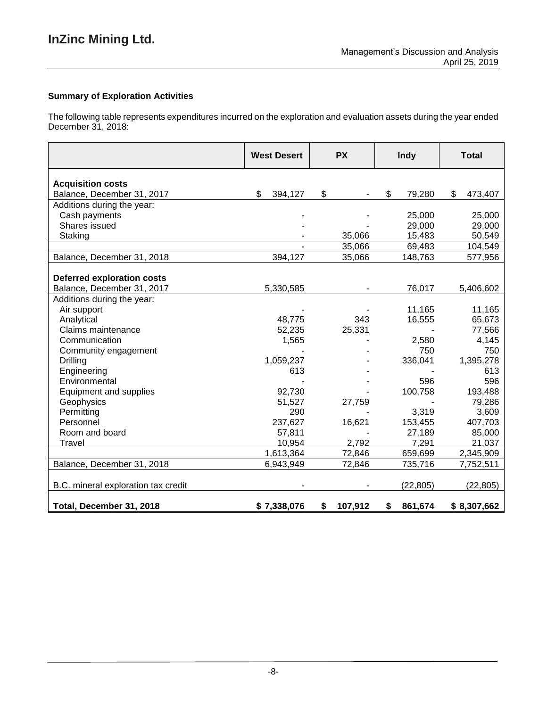# **Summary of Exploration Activities**

The following table represents expenditures incurred on the exploration and evaluation assets during the year ended December 31, 2018:

|                                     | <b>West Desert</b> | <b>PX</b>     | <b>Indy</b>   | <b>Total</b>  |
|-------------------------------------|--------------------|---------------|---------------|---------------|
| <b>Acquisition costs</b>            |                    |               |               |               |
| Balance, December 31, 2017          | \$<br>394,127      | \$            | \$<br>79,280  | \$<br>473,407 |
| Additions during the year:          |                    |               |               |               |
| Cash payments                       |                    |               | 25,000        | 25,000        |
| Shares issued                       |                    |               | 29,000        | 29,000        |
| Staking                             |                    | 35,066        | 15,483        | 50,549        |
|                                     |                    | 35,066        | 69,483        | 104,549       |
| Balance, December 31, 2018          | 394,127            | 35,066        | 148,763       | 577,956       |
|                                     |                    |               |               |               |
| <b>Deferred exploration costs</b>   |                    |               |               |               |
| Balance, December 31, 2017          | 5,330,585          |               | 76,017        | 5,406,602     |
| Additions during the year:          |                    |               |               |               |
| Air support                         |                    |               | 11,165        | 11,165        |
| Analytical                          | 48,775             | 343           | 16,555        | 65,673        |
| Claims maintenance                  | 52,235             | 25,331        |               | 77,566        |
| Communication                       | 1,565              |               | 2,580         | 4,145         |
| Community engagement                |                    |               | 750           | 750           |
| Drilling                            | 1,059,237          |               | 336,041       | 1,395,278     |
| Engineering                         | 613                |               |               | 613           |
| Environmental                       |                    |               | 596           | 596           |
| Equipment and supplies              | 92,730             |               | 100,758       | 193,488       |
| Geophysics                          | 51,527             | 27,759        |               | 79,286        |
| Permitting                          | 290                |               | 3,319         | 3,609         |
| Personnel                           | 237,627            | 16,621        | 153,455       | 407,703       |
| Room and board                      | 57,811             |               | 27,189        | 85,000        |
| Travel                              | 10,954             | 2,792         | 7,291         | 21,037        |
|                                     | 1,613,364          | 72,846        | 659,699       | 2,345,909     |
| Balance, December 31, 2018          | 6,943,949          | 72,846        | 735,716       | 7,752,511     |
| B.C. mineral exploration tax credit |                    |               | (22, 805)     | (22, 805)     |
| Total, December 31, 2018            | \$7,338,076        | \$<br>107,912 | 861,674<br>\$ | \$8,307,662   |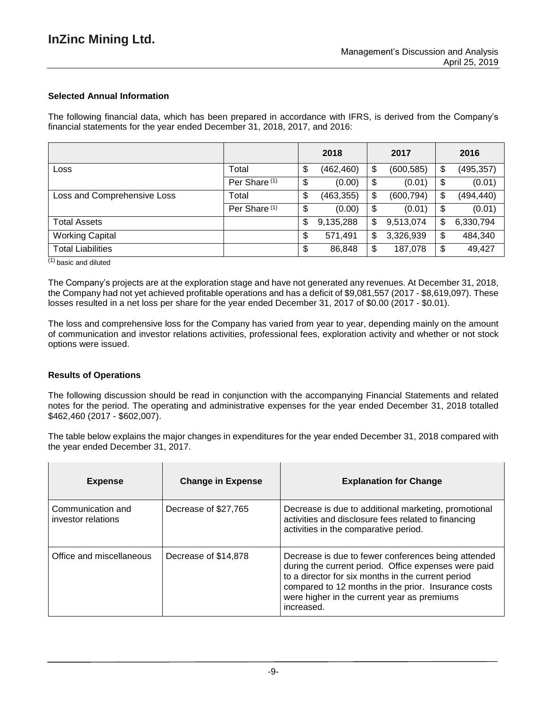### **Selected Annual Information**

The following financial data, which has been prepared in accordance with IFRS, is derived from the Company's financial statements for the year ended December 31, 2018, 2017, and 2016:

|                             |                          | 2018             | 2017             | 2016             |
|-----------------------------|--------------------------|------------------|------------------|------------------|
| Loss                        | Total                    | \$<br>(462, 460) | \$<br>(600, 585) | \$<br>(495, 357) |
|                             | Per Share <sup>(1)</sup> | \$<br>(0.00)     | \$<br>(0.01)     | \$<br>(0.01)     |
| Loss and Comprehensive Loss | Total                    | \$<br>(463, 355) | \$<br>(600, 794) | \$<br>(494, 440) |
|                             | Per Share <sup>(1)</sup> | \$<br>(0.00)     | \$<br>(0.01)     | \$<br>(0.01)     |
| <b>Total Assets</b>         |                          | \$<br>9,135,288  | \$<br>9,513,074  | \$<br>6,330,794  |
| <b>Working Capital</b>      |                          | \$<br>571,491    | \$<br>3,326,939  | \$<br>484,340    |
| <b>Total Liabilities</b>    |                          | \$<br>86,848     | \$<br>187,078    | \$<br>49,427     |

 $(1)$  basic and diluted

The Company's projects are at the exploration stage and have not generated any revenues. At December 31, 2018, the Company had not yet achieved profitable operations and has a deficit of \$9,081,557 (2017 - \$8,619,097). These losses resulted in a net loss per share for the year ended December 31, 2017 of \$0.00 (2017 - \$0.01).

The loss and comprehensive loss for the Company has varied from year to year, depending mainly on the amount of communication and investor relations activities, professional fees, exploration activity and whether or not stock options were issued.

#### **Results of Operations**

The following discussion should be read in conjunction with the accompanying Financial Statements and related notes for the period. The operating and administrative expenses for the year ended December 31, 2018 totalled \$462,460 (2017 - \$602,007).

The table below explains the major changes in expenditures for the year ended December 31, 2018 compared with the year ended December 31, 2017.

| <b>Expense</b>                          | <b>Change in Expense</b> | <b>Explanation for Change</b>                                                                                                                                                                                                                                                         |
|-----------------------------------------|--------------------------|---------------------------------------------------------------------------------------------------------------------------------------------------------------------------------------------------------------------------------------------------------------------------------------|
| Communication and<br>investor relations | Decrease of \$27,765     | Decrease is due to additional marketing, promotional<br>activities and disclosure fees related to financing<br>activities in the comparative period.                                                                                                                                  |
| Office and miscellaneous                | Decrease of \$14,878     | Decrease is due to fewer conferences being attended<br>during the current period. Office expenses were paid<br>to a director for six months in the current period<br>compared to 12 months in the prior. Insurance costs<br>were higher in the current year as premiums<br>increased. |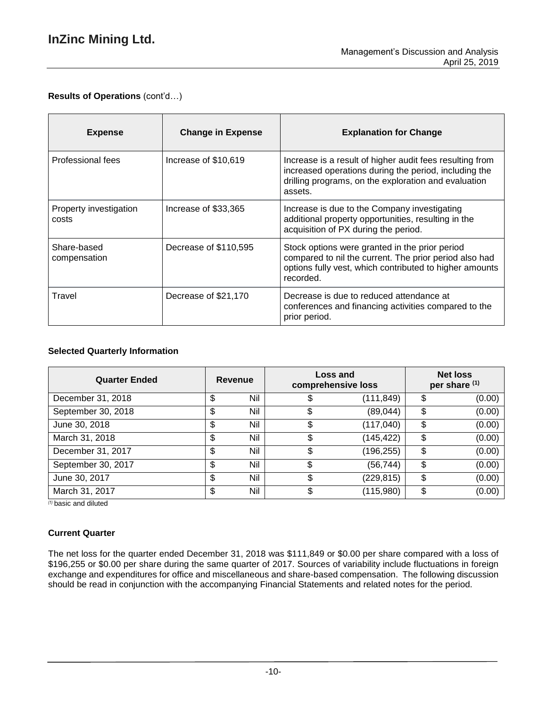# **Results of Operations** (cont'd…)

| <b>Expense</b>                  | <b>Change in Expense</b> | <b>Explanation for Change</b>                                                                                                                                                        |
|---------------------------------|--------------------------|--------------------------------------------------------------------------------------------------------------------------------------------------------------------------------------|
| Professional fees               | Increase of \$10,619     | Increase is a result of higher audit fees resulting from<br>increased operations during the period, including the<br>drilling programs, on the exploration and evaluation<br>assets. |
| Property investigation<br>costs | Increase of \$33,365     | Increase is due to the Company investigating<br>additional property opportunities, resulting in the<br>acquisition of PX during the period.                                          |
| Share-based<br>compensation     | Decrease of \$110,595    | Stock options were granted in the prior period<br>compared to nil the current. The prior period also had<br>options fully vest, which contributed to higher amounts<br>recorded.     |
| Travel                          | Decrease of \$21,170     | Decrease is due to reduced attendance at<br>conferences and financing activities compared to the<br>prior period.                                                                    |

### **Selected Quarterly Information**

| <b>Quarter Ended</b> | Revenue   | comprehensive loss | <b>Net loss</b><br><b>Loss and</b><br>per share (1) |    |        |
|----------------------|-----------|--------------------|-----------------------------------------------------|----|--------|
| December 31, 2018    | \$<br>Nil | \$                 | (111, 849)                                          | \$ | (0.00) |
| September 30, 2018   | \$<br>Nil |                    | (89,044)                                            | \$ | (0.00) |
| June 30, 2018        | \$<br>Nil | \$                 | (117, 040)                                          | \$ | (0.00) |
| March 31, 2018       | \$<br>Nil | \$                 | (145, 422)                                          | \$ | (0.00) |
| December 31, 2017    | \$<br>Nil | \$                 | (196,255)                                           | \$ | (0.00) |
| September 30, 2017   | \$<br>Nil | \$                 | (56, 744)                                           | \$ | (0.00) |
| June 30, 2017        | \$<br>Nil | \$                 | (229, 815)                                          | \$ | (0.00) |
| March 31, 2017       | \$<br>Nil | \$                 | (115,980)                                           | \$ | (0.00) |

*(1)* basic and diluted

### **Current Quarter**

The net loss for the quarter ended December 31, 2018 was \$111,849 or \$0.00 per share compared with a loss of \$196,255 or \$0.00 per share during the same quarter of 2017. Sources of variability include fluctuations in foreign exchange and expenditures for office and miscellaneous and share-based compensation. The following discussion should be read in conjunction with the accompanying Financial Statements and related notes for the period.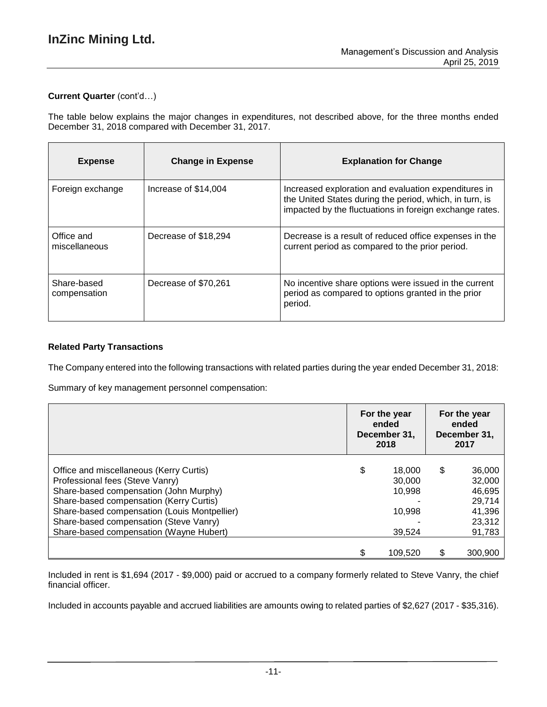### **Current Quarter** (cont'd…)

The table below explains the major changes in expenditures, not described above, for the three months ended December 31, 2018 compared with December 31, 2017.

| <b>Expense</b>              | <b>Change in Expense</b> | <b>Explanation for Change</b>                                                                                                                                              |
|-----------------------------|--------------------------|----------------------------------------------------------------------------------------------------------------------------------------------------------------------------|
| Foreign exchange            | Increase of \$14,004     | Increased exploration and evaluation expenditures in<br>the United States during the period, which, in turn, is<br>impacted by the fluctuations in foreign exchange rates. |
| Office and<br>miscellaneous | Decrease of \$18,294     | Decrease is a result of reduced office expenses in the<br>current period as compared to the prior period.                                                                  |
| Share-based<br>compensation | Decrease of \$70,261     | No incentive share options were issued in the current<br>period as compared to options granted in the prior<br>period.                                                     |

### **Related Party Transactions**

The Company entered into the following transactions with related parties during the year ended December 31, 2018:

Summary of key management personnel compensation:

|                                                                                                                                                                                                                                                                                                      |   | For the year<br>ended<br>December 31,<br>2018  |   | For the year<br>ended<br>December 31,<br>2017                      |
|------------------------------------------------------------------------------------------------------------------------------------------------------------------------------------------------------------------------------------------------------------------------------------------------------|---|------------------------------------------------|---|--------------------------------------------------------------------|
| Office and miscellaneous (Kerry Curtis)<br>Professional fees (Steve Vanry)<br>Share-based compensation (John Murphy)<br>Share-based compensation (Kerry Curtis)<br>Share-based compensation (Louis Montpellier)<br>Share-based compensation (Steve Vanry)<br>Share-based compensation (Wayne Hubert) | S | 18.000<br>30,000<br>10,998<br>10,998<br>39.524 | S | 36,000<br>32,000<br>46,695<br>29.714<br>41,396<br>23,312<br>91,783 |
|                                                                                                                                                                                                                                                                                                      |   | 109,520                                        | S | 300,900                                                            |

Included in rent is \$1,694 (2017 - \$9,000) paid or accrued to a company formerly related to Steve Vanry, the chief financial officer.

Included in accounts payable and accrued liabilities are amounts owing to related parties of \$2,627 (2017 - \$35,316).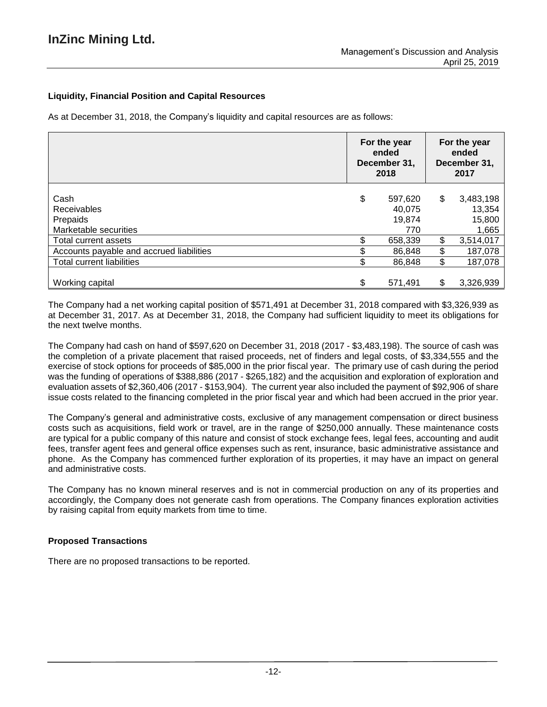## **Liquidity, Financial Position and Capital Resources**

As at December 31, 2018, the Company's liquidity and capital resources are as follows:

|                                                                 | For the year<br>ended<br>December 31,<br>2018 |                                    | For the year<br>ended<br>December 31,<br>2017 |                                        |
|-----------------------------------------------------------------|-----------------------------------------------|------------------------------------|-----------------------------------------------|----------------------------------------|
| Cash<br><b>Receivables</b><br>Prepaids<br>Marketable securities | \$                                            | 597,620<br>40.075<br>19,874<br>770 | \$                                            | 3,483,198<br>13,354<br>15,800<br>1,665 |
| Total current assets                                            |                                               | 658,339                            | \$                                            | 3,514,017                              |
| Accounts payable and accrued liabilities                        |                                               | 86,848                             | \$                                            | 187,078                                |
| <b>Total current liabilities</b>                                | \$                                            | 86,848                             | \$                                            | 187,078                                |
| Working capital                                                 | \$                                            | 571,491                            | \$                                            | 3,326,939                              |

The Company had a net working capital position of \$571,491 at December 31, 2018 compared with \$3,326,939 as at December 31, 2017. As at December 31, 2018, the Company had sufficient liquidity to meet its obligations for the next twelve months.

The Company had cash on hand of \$597,620 on December 31, 2018 (2017 - \$3,483,198). The source of cash was the completion of a private placement that raised proceeds, net of finders and legal costs, of \$3,334,555 and the exercise of stock options for proceeds of \$85,000 in the prior fiscal year. The primary use of cash during the period was the funding of operations of \$388,886 (2017 - \$265,182) and the acquisition and exploration of exploration and evaluation assets of \$2,360,406 (2017 - \$153,904). The current year also included the payment of \$92,906 of share issue costs related to the financing completed in the prior fiscal year and which had been accrued in the prior year.

The Company's general and administrative costs, exclusive of any management compensation or direct business costs such as acquisitions, field work or travel, are in the range of \$250,000 annually. These maintenance costs are typical for a public company of this nature and consist of stock exchange fees, legal fees, accounting and audit fees, transfer agent fees and general office expenses such as rent, insurance, basic administrative assistance and phone. As the Company has commenced further exploration of its properties, it may have an impact on general and administrative costs.

The Company has no known mineral reserves and is not in commercial production on any of its properties and accordingly, the Company does not generate cash from operations. The Company finances exploration activities by raising capital from equity markets from time to time.

### **Proposed Transactions**

There are no proposed transactions to be reported.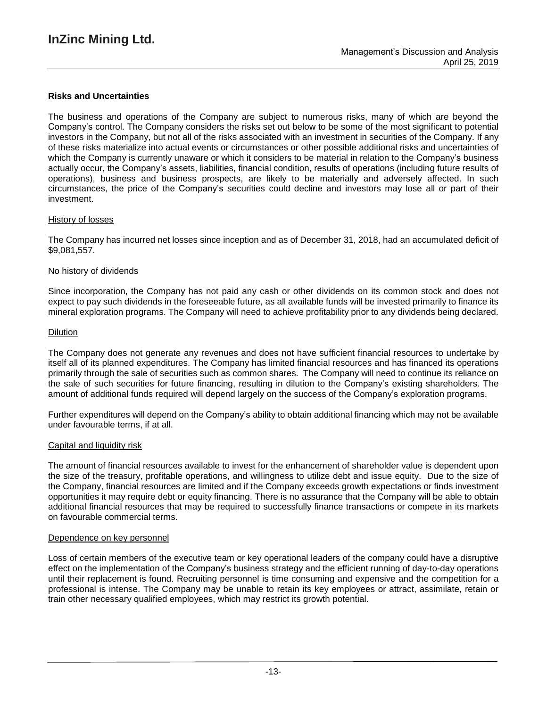### **Risks and Uncertainties**

The business and operations of the Company are subject to numerous risks, many of which are beyond the Company's control. The Company considers the risks set out below to be some of the most significant to potential investors in the Company, but not all of the risks associated with an investment in securities of the Company. If any of these risks materialize into actual events or circumstances or other possible additional risks and uncertainties of which the Company is currently unaware or which it considers to be material in relation to the Company's business actually occur, the Company's assets, liabilities, financial condition, results of operations (including future results of operations), business and business prospects, are likely to be materially and adversely affected. In such circumstances, the price of the Company's securities could decline and investors may lose all or part of their investment.

#### History of losses

The Company has incurred net losses since inception and as of December 31, 2018, had an accumulated deficit of \$9,081,557.

#### No history of dividends

Since incorporation, the Company has not paid any cash or other dividends on its common stock and does not expect to pay such dividends in the foreseeable future, as all available funds will be invested primarily to finance its mineral exploration programs. The Company will need to achieve profitability prior to any dividends being declared.

#### Dilution

The Company does not generate any revenues and does not have sufficient financial resources to undertake by itself all of its planned expenditures. The Company has limited financial resources and has financed its operations primarily through the sale of securities such as common shares. The Company will need to continue its reliance on the sale of such securities for future financing, resulting in dilution to the Company's existing shareholders. The amount of additional funds required will depend largely on the success of the Company's exploration programs.

Further expenditures will depend on the Company's ability to obtain additional financing which may not be available under favourable terms, if at all.

#### Capital and liquidity risk

The amount of financial resources available to invest for the enhancement of shareholder value is dependent upon the size of the treasury, profitable operations, and willingness to utilize debt and issue equity. Due to the size of the Company, financial resources are limited and if the Company exceeds growth expectations or finds investment opportunities it may require debt or equity financing. There is no assurance that the Company will be able to obtain additional financial resources that may be required to successfully finance transactions or compete in its markets on favourable commercial terms.

#### Dependence on key personnel

Loss of certain members of the executive team or key operational leaders of the company could have a disruptive effect on the implementation of the Company's business strategy and the efficient running of day-to-day operations until their replacement is found. Recruiting personnel is time consuming and expensive and the competition for a professional is intense. The Company may be unable to retain its key employees or attract, assimilate, retain or train other necessary qualified employees, which may restrict its growth potential.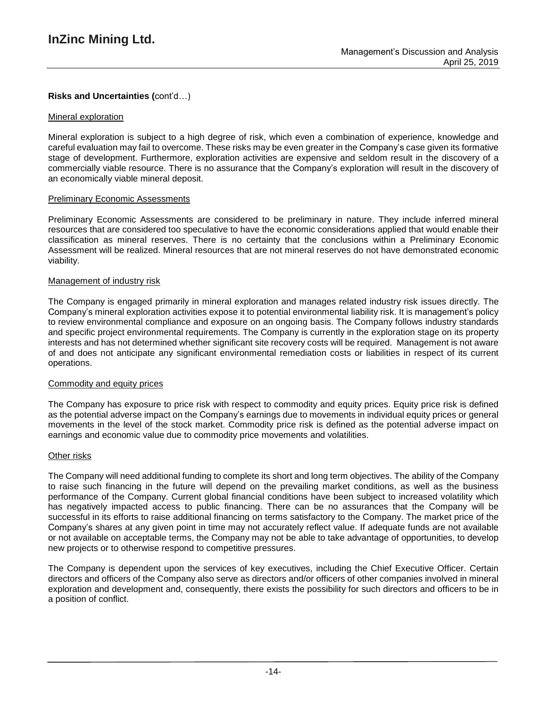## **Risks and Uncertainties (**cont'd…)

#### Mineral exploration

Mineral exploration is subject to a high degree of risk, which even a combination of experience, knowledge and careful evaluation may fail to overcome. These risks may be even greater in the Company's case given its formative stage of development. Furthermore, exploration activities are expensive and seldom result in the discovery of a commercially viable resource. There is no assurance that the Company's exploration will result in the discovery of an economically viable mineral deposit.

#### Preliminary Economic Assessments

Preliminary Economic Assessments are considered to be preliminary in nature. They include inferred mineral resources that are considered too speculative to have the economic considerations applied that would enable their classification as mineral reserves. There is no certainty that the conclusions within a Preliminary Economic Assessment will be realized. Mineral resources that are not mineral reserves do not have demonstrated economic viability.

### Management of industry risk

The Company is engaged primarily in mineral exploration and manages related industry risk issues directly. The Company's mineral exploration activities expose it to potential environmental liability risk. It is management's policy to review environmental compliance and exposure on an ongoing basis. The Company follows industry standards and specific project environmental requirements. The Company is currently in the exploration stage on its property interests and has not determined whether significant site recovery costs will be required. Management is not aware of and does not anticipate any significant environmental remediation costs or liabilities in respect of its current operations.

#### Commodity and equity prices

The Company has exposure to price risk with respect to commodity and equity prices. Equity price risk is defined as the potential adverse impact on the Company's earnings due to movements in individual equity prices or general movements in the level of the stock market. Commodity price risk is defined as the potential adverse impact on earnings and economic value due to commodity price movements and volatilities.

#### Other risks

The Company will need additional funding to complete its short and long term objectives. The ability of the Company to raise such financing in the future will depend on the prevailing market conditions, as well as the business performance of the Company. Current global financial conditions have been subject to increased volatility which has negatively impacted access to public financing. There can be no assurances that the Company will be successful in its efforts to raise additional financing on terms satisfactory to the Company. The market price of the Company's shares at any given point in time may not accurately reflect value. If adequate funds are not available or not available on acceptable terms, the Company may not be able to take advantage of opportunities, to develop new projects or to otherwise respond to competitive pressures.

The Company is dependent upon the services of key executives, including the Chief Executive Officer. Certain directors and officers of the Company also serve as directors and/or officers of other companies involved in mineral exploration and development and, consequently, there exists the possibility for such directors and officers to be in a position of conflict.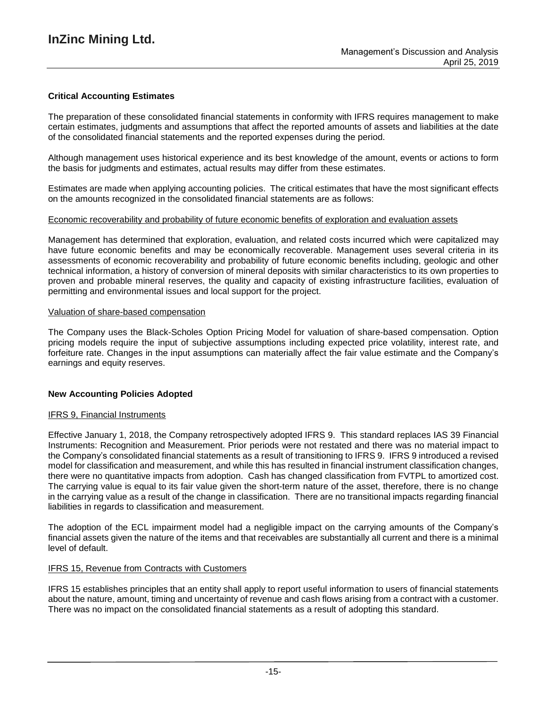### **Critical Accounting Estimates**

The preparation of these consolidated financial statements in conformity with IFRS requires management to make certain estimates, judgments and assumptions that affect the reported amounts of assets and liabilities at the date of the consolidated financial statements and the reported expenses during the period.

Although management uses historical experience and its best knowledge of the amount, events or actions to form the basis for judgments and estimates, actual results may differ from these estimates.

Estimates are made when applying accounting policies. The critical estimates that have the most significant effects on the amounts recognized in the consolidated financial statements are as follows:

### Economic recoverability and probability of future economic benefits of exploration and evaluation assets

Management has determined that exploration, evaluation, and related costs incurred which were capitalized may have future economic benefits and may be economically recoverable. Management uses several criteria in its assessments of economic recoverability and probability of future economic benefits including, geologic and other technical information, a history of conversion of mineral deposits with similar characteristics to its own properties to proven and probable mineral reserves, the quality and capacity of existing infrastructure facilities, evaluation of permitting and environmental issues and local support for the project.

### Valuation of share-based compensation

The Company uses the Black-Scholes Option Pricing Model for valuation of share-based compensation. Option pricing models require the input of subjective assumptions including expected price volatility, interest rate, and forfeiture rate. Changes in the input assumptions can materially affect the fair value estimate and the Company's earnings and equity reserves.

### **New Accounting Policies Adopted**

### IFRS 9, Financial Instruments

Effective January 1, 2018, the Company retrospectively adopted IFRS 9. This standard replaces IAS 39 Financial Instruments: Recognition and Measurement. Prior periods were not restated and there was no material impact to the Company's consolidated financial statements as a result of transitioning to IFRS 9. IFRS 9 introduced a revised model for classification and measurement, and while this has resulted in financial instrument classification changes, there were no quantitative impacts from adoption. Cash has changed classification from FVTPL to amortized cost. The carrying value is equal to its fair value given the short-term nature of the asset, therefore, there is no change in the carrying value as a result of the change in classification. There are no transitional impacts regarding financial liabilities in regards to classification and measurement.

The adoption of the ECL impairment model had a negligible impact on the carrying amounts of the Company's financial assets given the nature of the items and that receivables are substantially all current and there is a minimal level of default.

### IFRS 15, Revenue from Contracts with Customers

IFRS 15 establishes principles that an entity shall apply to report useful information to users of financial statements about the nature, amount, timing and uncertainty of revenue and cash flows arising from a contract with a customer. There was no impact on the consolidated financial statements as a result of adopting this standard.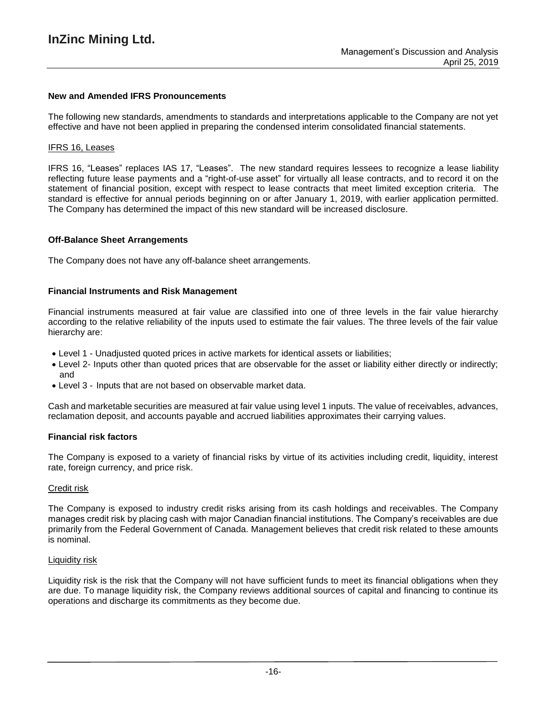#### **New and Amended IFRS Pronouncements**

The following new standards, amendments to standards and interpretations applicable to the Company are not yet effective and have not been applied in preparing the condensed interim consolidated financial statements.

#### IFRS 16, Leases

IFRS 16, "Leases" replaces IAS 17, "Leases". The new standard requires lessees to recognize a lease liability reflecting future lease payments and a "right-of-use asset" for virtually all lease contracts, and to record it on the statement of financial position, except with respect to lease contracts that meet limited exception criteria. The standard is effective for annual periods beginning on or after January 1, 2019, with earlier application permitted. The Company has determined the impact of this new standard will be increased disclosure.

#### **Off-Balance Sheet Arrangements**

The Company does not have any off-balance sheet arrangements.

#### **Financial Instruments and Risk Management**

Financial instruments measured at fair value are classified into one of three levels in the fair value hierarchy according to the relative reliability of the inputs used to estimate the fair values. The three levels of the fair value hierarchy are:

- Level 1 Unadjusted quoted prices in active markets for identical assets or liabilities;
- Level 2- Inputs other than quoted prices that are observable for the asset or liability either directly or indirectly; and
- Level 3 Inputs that are not based on observable market data.

Cash and marketable securities are measured at fair value using level 1 inputs. The value of receivables, advances, reclamation deposit, and accounts payable and accrued liabilities approximates their carrying values.

#### **Financial risk factors**

The Company is exposed to a variety of financial risks by virtue of its activities including credit, liquidity, interest rate, foreign currency, and price risk.

#### Credit risk

The Company is exposed to industry credit risks arising from its cash holdings and receivables. The Company manages credit risk by placing cash with major Canadian financial institutions. The Company's receivables are due primarily from the Federal Government of Canada. Management believes that credit risk related to these amounts is nominal.

#### Liquidity risk

Liquidity risk is the risk that the Company will not have sufficient funds to meet its financial obligations when they are due. To manage liquidity risk, the Company reviews additional sources of capital and financing to continue its operations and discharge its commitments as they become due.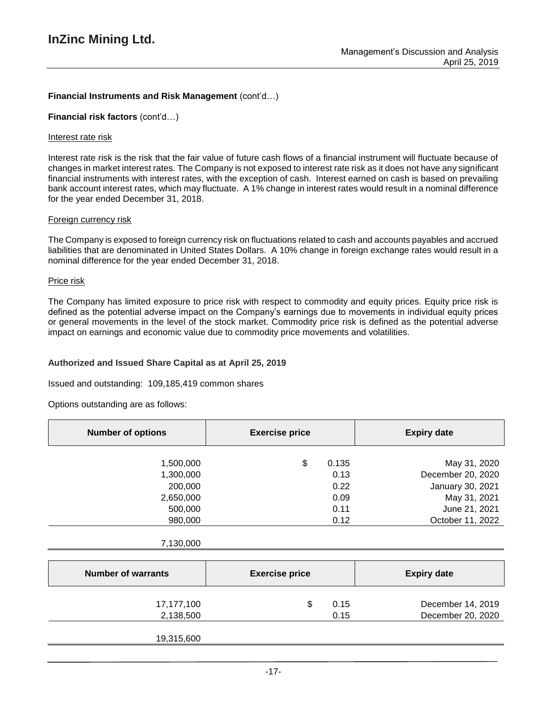### **Financial Instruments and Risk Management** (cont'd…)

#### **Financial risk factors** (cont'd…)

#### Interest rate risk

Interest rate risk is the risk that the fair value of future cash flows of a financial instrument will fluctuate because of changes in market interest rates. The Company is not exposed to interest rate risk as it does not have any significant financial instruments with interest rates, with the exception of cash. Interest earned on cash is based on prevailing bank account interest rates, which may fluctuate. A 1% change in interest rates would result in a nominal difference for the year ended December 31, 2018.

#### Foreign currency risk

The Company is exposed to foreign currency risk on fluctuations related to cash and accounts payables and accrued liabilities that are denominated in United States Dollars. A 10% change in foreign exchange rates would result in a nominal difference for the year ended December 31, 2018.

#### Price risk

The Company has limited exposure to price risk with respect to commodity and equity prices. Equity price risk is defined as the potential adverse impact on the Company's earnings due to movements in individual equity prices or general movements in the level of the stock market. Commodity price risk is defined as the potential adverse impact on earnings and economic value due to commodity price movements and volatilities.

#### **Authorized and Issued Share Capital as at April 25, 2019**

Issued and outstanding: 109,185,419 common shares

Options outstanding are as follows:

| <b>Number of options</b>  | <b>Exercise price</b> | <b>Expiry date</b> |
|---------------------------|-----------------------|--------------------|
|                           |                       |                    |
| 1,500,000                 | \$<br>0.135           | May 31, 2020       |
| 1,300,000                 | 0.13                  | December 20, 2020  |
| 200,000                   | 0.22                  | January 30, 2021   |
| 2,650,000                 | 0.09                  | May 31, 2021       |
| 500,000                   | 0.11                  | June 21, 2021      |
| 980,000                   | 0.12                  | October 11, 2022   |
|                           |                       |                    |
| 7,130,000                 |                       |                    |
|                           |                       |                    |
| <b>Number of warrants</b> | <b>Exercise price</b> | <b>Expiry date</b> |
|                           |                       |                    |
| 17,177,100                | \$<br>0.15            | December 14, 2019  |
| 2,138,500                 | 0.15                  | December 20, 2020  |
|                           |                       |                    |
| 19,315,600                |                       |                    |
|                           |                       |                    |